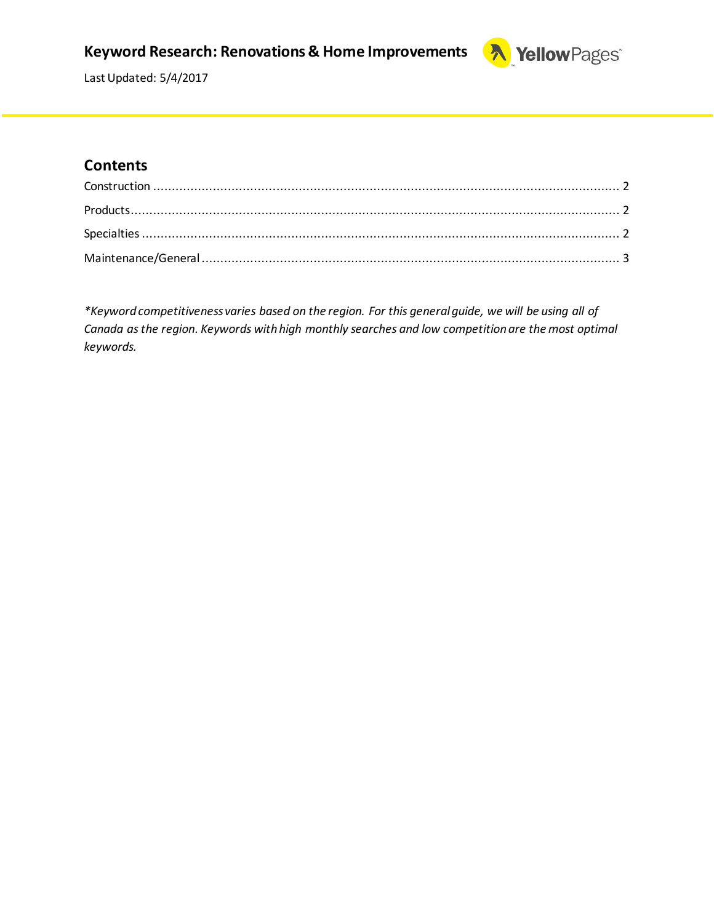### **Keyword Research: Renovations & Home Improvements**



Last Updated: 5/4/2017

#### **Contents**

*\*Keyword competitiveness varies based on the region. For this general guide, we will be using all of Canada as the region. Keywords with high monthly searches and low competition are the most optimal keywords.*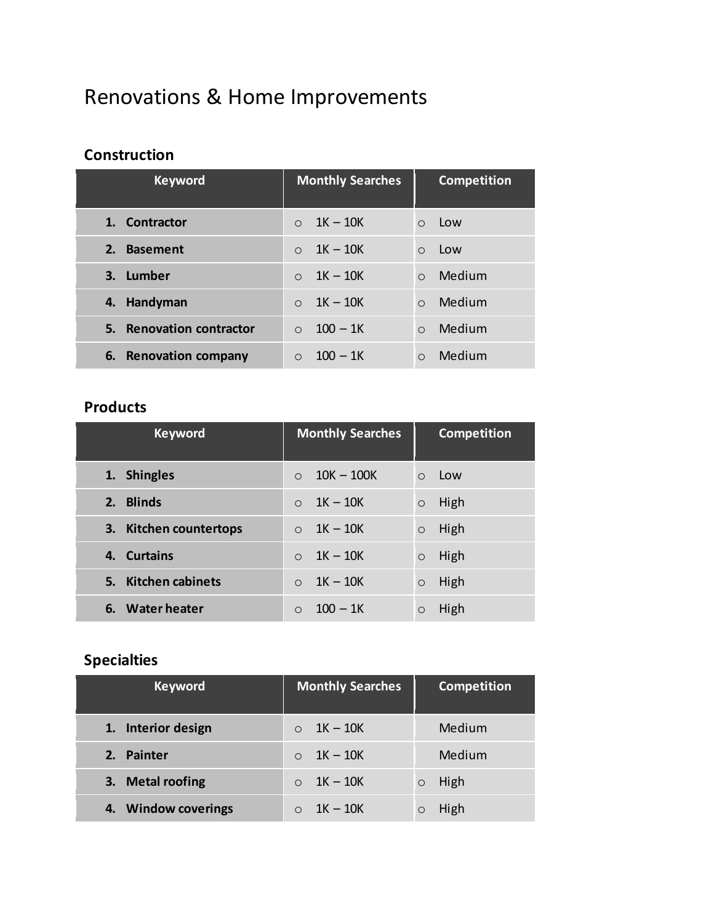# Renovations & Home Improvements

#### <span id="page-1-0"></span>**Construction**

| <b>Keyword</b>           | <b>Monthly Searches</b> | <b>Competition</b>  |
|--------------------------|-------------------------|---------------------|
| 1. Contractor            | $1K-10K$<br>$\Omega$    | Low<br>$\bigcirc$   |
| 2.<br><b>Basement</b>    | $1K - 10K$<br>$\Omega$  | Low<br>$\bigcirc$   |
| 3. Lumber                | $1K - 10K$<br>$\bigcap$ | Medium<br>$\Omega$  |
| Handyman<br>4.           | $1K - 10K$<br>$\Omega$  | Medium<br>$\Omega$  |
| 5. Renovation contractor | $100 - 1K$<br>$\bigcap$ | Medium<br>$\bigcap$ |
| 6. Renovation company    | $100 - 1K$<br>$\bigcap$ | Medium<br>$\Omega$  |

#### <span id="page-1-1"></span>**Products**

| <b>Keyword</b>         | <b>Monthly Searches</b>  | <b>Competition</b> |
|------------------------|--------------------------|--------------------|
| 1. Shingles            | $10K - 100K$<br>$\Omega$ | Low<br>$\Omega$    |
| 2. Blinds              | $1K - 10K$<br>$\Omega$   | High<br>$\circ$    |
| 3. Kitchen countertops | $1K - 10K$<br>$\Omega$   | High<br>$\circ$    |
| 4. Curtains            | $1K - 10K$<br>$\Omega$   | High<br>$\circ$    |
| 5. Kitchen cabinets    | $1K - 10K$<br>$\Omega$   | High<br>$\circ$    |
| 6. Water heater        | $100 - 1k$               | High               |

## <span id="page-1-2"></span>**Specialties**

| <b>Keyword</b>      | <b>Monthly Searches</b> | <b>Competition</b> |
|---------------------|-------------------------|--------------------|
| 1. Interior design  | 1K – 10K                | Medium             |
| 2. Painter          | 1K – 10K                | Medium             |
| 3. Metal roofing    | $1K - 10K$              | High<br>$\circ$    |
| 4. Window coverings | $1K - 10K$              | High               |